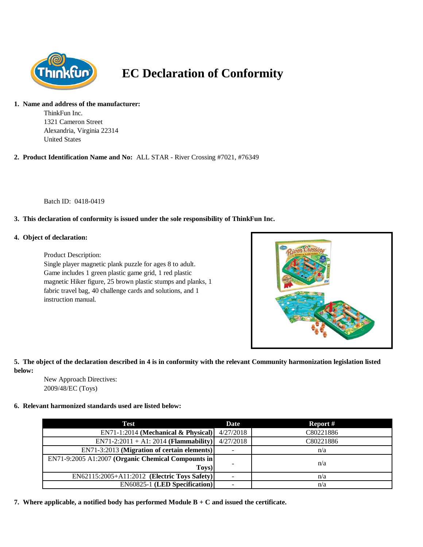

# **EC Declaration of Conformity**

## **1. Name and address of the manufacturer:**

ThinkFun Inc. 1321 Cameron Street Alexandria, Virginia 22314 United States

## **2. Product Identification Name and No:** ALL STAR - River Crossing #7021, #76349

Batch ID: 0418-0419

## **3. This declaration of conformity is issued under the sole responsibility of ThinkFun Inc.**

#### **4. Object of declaration:**

Product Description:

Single player magnetic plank puzzle for ages 8 to adult. Game includes 1 green plastic game grid, 1 red plastic magnetic Hiker figure, 25 brown plastic stumps and planks, 1 fabric travel bag, 40 challenge cards and solutions, and 1 instruction manual.



### **5. The object of the declaration described in 4 is in conformity with the relevant Community harmonization legislation listed below:**

New Approach Directives: 2009/48/EC (Toys)

#### **6. Relevant harmonized standards used are listed below:**

| Test                                               | Date                     | Report #  |
|----------------------------------------------------|--------------------------|-----------|
| $EN71-1:2014$ (Mechanical & Physical)              | 4/27/2018                | C80221886 |
| $EN71-2:2011 + A1:2014$ (Flammability)             | 4/27/2018                | C80221886 |
| EN71-3:2013 (Migration of certain elements)        | $\overline{\phantom{a}}$ | n/a       |
| EN71-9:2005 A1:2007 (Organic Chemical Compounts in |                          |           |
| Toys)                                              | $\overline{\phantom{a}}$ | n/a       |
| EN62115:2005+A11:2012 (Electric Toys Safety)       |                          | n/a       |
| <b>EN60825-1 (LED Specification)</b>               |                          | n/a       |

**7. Where applicable, a notified body has performed Module B + C and issued the certificate.**